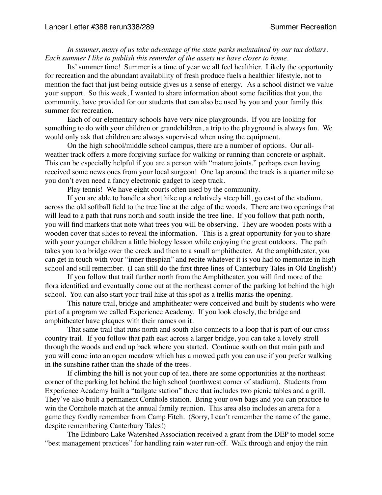*In summer, many of us take advantage of the state parks maintained by our tax dollars. Each summer I like to publish this reminder of the assets we have closer to home.*

Its' summer time! Summer is a time of year we all feel healthier. Likely the opportunity for recreation and the abundant availability of fresh produce fuels a healthier lifestyle, not to mention the fact that just being outside gives us a sense of energy. As a school district we value your support. So this week, I wanted to share information about some facilities that you, the community, have provided for our students that can also be used by you and your family this summer for recreation.

Each of our elementary schools have very nice playgrounds. If you are looking for something to do with your children or grandchildren, a trip to the playground is always fun. We would only ask that children are always supervised when using the equipment.

On the high school/middle school campus, there are a number of options. Our allweather track offers a more forgiving surface for walking or running than concrete or asphalt. This can be especially helpful if you are a person with "mature joints," perhaps even having received some news ones from your local surgeon! One lap around the track is a quarter mile so you don't even need a fancy electronic gadget to keep track.

Play tennis! We have eight courts often used by the community.

If you are able to handle a short hike up a relatively steep hill, go east of the stadium, across the old softball field to the tree line at the edge of the woods. There are two openings that will lead to a path that runs north and south inside the tree line. If you follow that path north, you will find markers that note what trees you will be observing. They are wooden posts with a wooden cover that slides to reveal the information. This is a great opportunity for you to share with your younger children a little biology lesson while enjoying the great outdoors. The path takes you to a bridge over the creek and then to a small amphitheater. At the amphitheater, you can get in touch with your "inner thespian" and recite whatever it is you had to memorize in high school and still remember. (I can still do the first three lines of Canterbury Tales in Old English!)

If you follow that trail further north from the Amphitheater, you will find more of the flora identified and eventually come out at the northeast corner of the parking lot behind the high school. You can also start your trail hike at this spot as a trellis marks the opening.

This nature trail, bridge and amphitheater were conceived and built by students who were part of a program we called Experience Academy. If you look closely, the bridge and amphitheater have plaques with their names on it.

That same trail that runs north and south also connects to a loop that is part of our cross country trail. If you follow that path east across a larger bridge, you can take a lovely stroll through the woods and end up back where you started. Continue south on that main path and you will come into an open meadow which has a mowed path you can use if you prefer walking in the sunshine rather than the shade of the trees.

If climbing the hill is not your cup of tea, there are some opportunities at the northeast corner of the parking lot behind the high school (northwest corner of stadium). Students from Experience Academy built a "tailgate station" there that includes two picnic tables and a grill. They've also built a permanent Cornhole station. Bring your own bags and you can practice to win the Cornhole match at the annual family reunion. This area also includes an arena for a game they fondly remember from Camp Fitch. (Sorry, I can't remember the name of the game, despite remembering Canterbury Tales!)

The Edinboro Lake Watershed Association received a grant from the DEP to model some "best management practices" for handling rain water run-off. Walk through and enjoy the rain